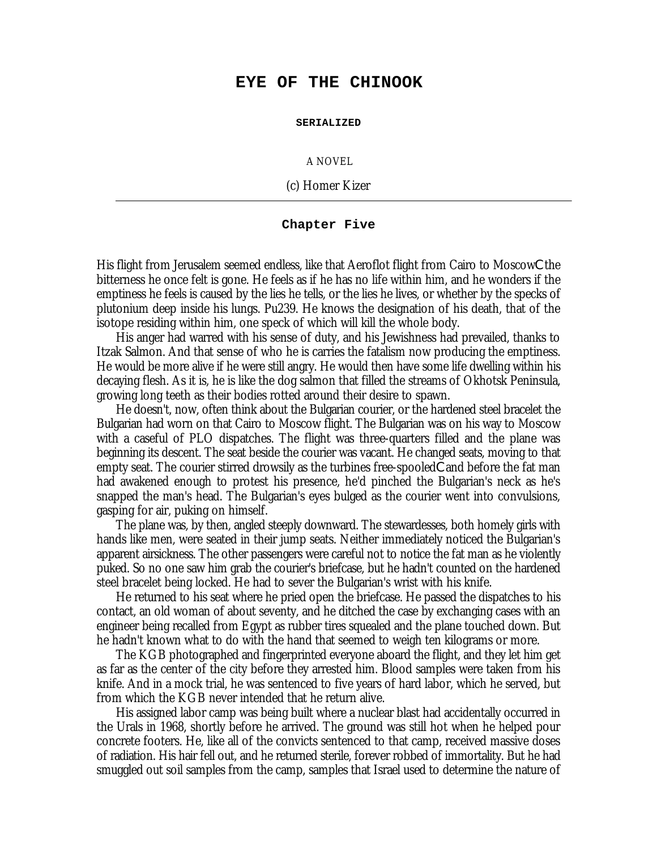## **EYE OF THE CHINOOK**

**SERIALIZED**

A NOVEL

(c) Homer Kizer

## **Chapter Five**

His flight from Jerusalem seemed endless, like that Aeroflot flight from Cairo to MoscowCthe bitterness he once felt is gone. He feels as if he has no life within him, and he wonders if the emptiness he feels is caused by the lies he tells, or the lies he lives, or whether by the specks of plutonium deep inside his lungs. Pu239. He knows the designation of his death, that of the isotope residing within him, one speck of which will kill the whole body.

His anger had warred with his sense of duty, and his Jewishness had prevailed, thanks to Itzak Salmon. And that sense of who he is carries the fatalism now producing the emptiness. He would be more alive if he were still angry. He would then have some life dwelling within his decaying flesh. As it is, he is like the dog salmon that filled the streams of Okhotsk Peninsula, growing long teeth as their bodies rotted around their desire to spawn.

He doesn't, now, often think about the Bulgarian courier, or the hardened steel bracelet the Bulgarian had worn on that Cairo to Moscow flight. The Bulgarian was on his way to Moscow with a caseful of PLO dispatches. The flight was three-quarters filled and the plane was beginning its descent. The seat beside the courier was vacant. He changed seats, moving to that empty seat. The courier stirred drowsily as the turbines free-spooledCand before the fat man had awakened enough to protest his presence, he'd pinched the Bulgarian's neck as he's snapped the man's head. The Bulgarian's eyes bulged as the courier went into convulsions, gasping for air, puking on himself.

The plane was, by then, angled steeply downward. The stewardesses, both homely girls with hands like men, were seated in their jump seats. Neither immediately noticed the Bulgarian's apparent airsickness. The other passengers were careful not to notice the fat man as he violently puked. So no one saw him grab the courier's briefcase, but he hadn't counted on the hardened steel bracelet being locked. He had to sever the Bulgarian's wrist with his knife.

He returned to his seat where he pried open the briefcase. He passed the dispatches to his contact, an old woman of about seventy, and he ditched the case by exchanging cases with an engineer being recalled from Egypt as rubber tires squealed and the plane touched down. But he hadn't known what to do with the hand that seemed to weigh ten kilograms or more.

The KGB photographed and fingerprinted everyone aboard the flight, and they let him get as far as the center of the city before they arrested him. Blood samples were taken from his knife. And in a mock trial, he was sentenced to five years of hard labor, which he served, but from which the KGB never intended that he return alive.

His assigned labor camp was being built where a nuclear blast had accidentally occurred in the Urals in 1968, shortly before he arrived. The ground was still hot when he helped pour concrete footers. He, like all of the convicts sentenced to that camp, received massive doses of radiation. His hair fell out, and he returned sterile, forever robbed of immortality. But he had smuggled out soil samples from the camp, samples that Israel used to determine the nature of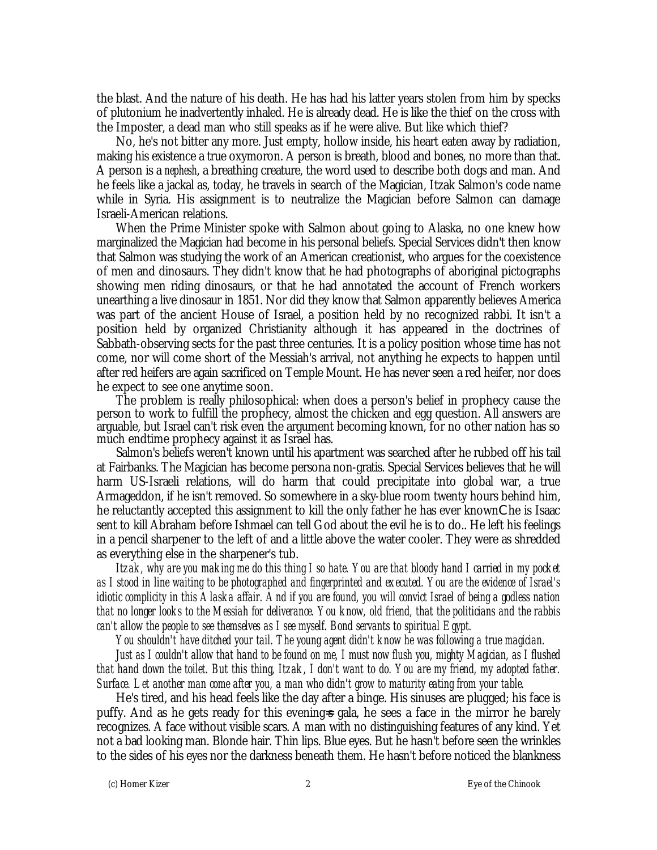the blast. And the nature of his death. He has had his latter years stolen from him by specks of plutonium he inadvertently inhaled. He is already dead. He is like the thief on the cross with the Imposter, a dead man who still speaks as if he were alive. But like which thief?

No, he's not bitter any more. Just empty, hollow inside, his heart eaten away by radiation, making his existence a true oxymoron. A person is breath, blood and bones, no more than that. A person is a *nephesh*, a breathing creature, the word used to describe both dogs and man. And he feels like a jackal as, today, he travels in search of the Magician, Itzak Salmon's code name while in Syria. His assignment is to neutralize the Magician before Salmon can damage Israeli-American relations.

When the Prime Minister spoke with Salmon about going to Alaska, no one knew how marginalized the Magician had become in his personal beliefs. Special Services didn't then know that Salmon was studying the work of an American creationist, who argues for the coexistence of men and dinosaurs. They didn't know that he had photographs of aboriginal pictographs showing men riding dinosaurs, or that he had annotated the account of French workers unearthing a live dinosaur in 1851. Nor did they know that Salmon apparently believes America was part of the ancient House of Israel, a position held by no recognized rabbi. It isn't a position held by organized Christianity although it has appeared in the doctrines of Sabbath-observing sects for the past three centuries. It is a policy position whose time has not come, nor will come short of the Messiah's arrival, not anything he expects to happen until after red heifers are again sacrificed on Temple Mount. He has never seen a red heifer, nor does he expect to see one anytime soon.

The problem is really philosophical: when does a person's belief in prophecy cause the person to work to fulfill the prophecy, almost the chicken and egg question. All answers are arguable, but Israel can't risk even the argument becoming known, for no other nation has so much endtime prophecy against it as Israel has.

Salmon's beliefs weren't known until his apartment was searched after he rubbed off his tail at Fairbanks. The Magician has become persona non-gratis. Special Services believes that he will harm US-Israeli relations, will do harm that could precipitate into global war, a true Armageddon, if he isn't removed. So somewhere in a sky-blue room twenty hours behind him, he reluctantly accepted this assignment to kill the only father he has ever knownChe is Isaac sent to kill Abraham before Ishmael can tell God about the evil he is to do.. He left his feelings in a pencil sharpener to the left of and a little above the water cooler. They were as shredded as everything else in the sharpener's tub.

*Itzak, why are you making me do this thing I so hate. You are that bloody hand I carried in my pocket as I stood in line waiting to be photographed and fingerprinted and executed. You are the evidence of Israel's idiotic complicity in this Alaska affair. And if you are found, you will convict Israel of being a godless nation that no longer looks to the Messiah for deliverance. You know, old friend, that the politicians and the rabbis can't allow the people to see themselves as I see myself. Bond servants to spiritual Egypt.*

*You shouldn't have ditched your tail. The young agent didn't know he was following a true magician.*

*Just as I couldn't allow that hand to be found on me, I must now flush you, mighty Magician, as I flushed that hand down the toilet. But this thing, Itzak, I don't want to do. You are my friend, my adopted father. Surface. Let another man come after you, a man who didn't grow to maturity eating from your table.*

He's tired, and his head feels like the day after a binge. His sinuses are plugged; his face is puffy. And as he gets ready for this evening=s gala, he sees a face in the mirror he barely recognizes. A face without visible scars. A man with no distinguishing features of any kind. Yet not a bad looking man. Blonde hair. Thin lips. Blue eyes. But he hasn't before seen the wrinkles to the sides of his eyes nor the darkness beneath them. He hasn't before noticed the blankness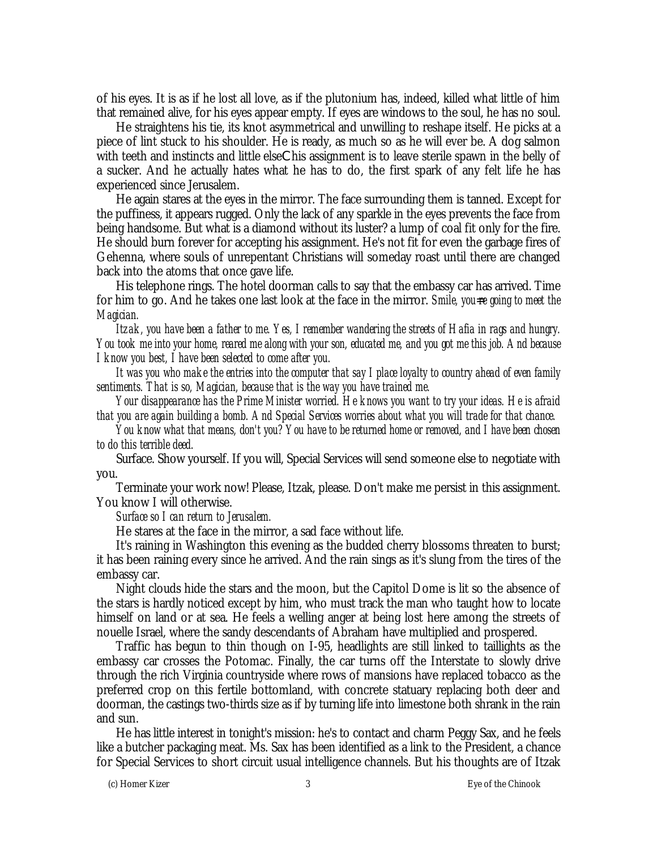of his eyes. It is as if he lost all love, as if the plutonium has, indeed, killed what little of him that remained alive, for his eyes appear empty. If eyes are windows to the soul, he has no soul.

He straightens his tie, its knot asymmetrical and unwilling to reshape itself. He picks at a piece of lint stuck to his shoulder. He is ready, as much so as he will ever be. A dog salmon with teeth and instincts and little elseChis assignment is to leave sterile spawn in the belly of a sucker. And he actually hates what he has to do, the first spark of any felt life he has experienced since Jerusalem.

He again stares at the eyes in the mirror. The face surrounding them is tanned. Except for the puffiness, it appears rugged. Only the lack of any sparkle in the eyes prevents the face from being handsome. But what is a diamond without its luster? a lump of coal fit only for the fire. He should burn forever for accepting his assignment. He's not fit for even the garbage fires of Gehenna, where souls of unrepentant Christians will someday roast until there are changed back into the atoms that once gave life.

His telephone rings. The hotel doorman calls to say that the embassy car has arrived. Time for him to go. And he takes one last look at the face in the mirror. *Smile, you=re going to meet the Magician.*

*Itzak, you have been a father to me. Yes, I remember wandering the streets of Hafia in rags and hungry. You took me into your home, reared me along with your son, educated me, and you got me this job. And because I know you best, I have been selected to come after you.*

*It was you who make the entries into the computer that say I place loyalty to country ahead of even family sentiments. That is so, Magician, because that is the way you have trained me.*

*Your disappearance has the Prime Minister worried. He knows you want to try your ideas. He is afraid that you are again building a bomb. And Special Services worries about what you will trade for that chance.*

*You know what that means, don't you? You have to be returned home or removed, and I have been chosen to do this terrible deed.*

Surface. Show yourself. If you will, Special Services will send someone else to negotiate with you.

Terminate your work now! Please, Itzak, please. Don't make me persist in this assignment. You know I will otherwise.

*Surface so I can return to Jerusalem.*

He stares at the face in the mirror, a sad face without life.

It's raining in Washington this evening as the budded cherry blossoms threaten to burst; it has been raining every since he arrived. And the rain sings as it's slung from the tires of the embassy car.

Night clouds hide the stars and the moon, but the Capitol Dome is lit so the absence of the stars is hardly noticed except by him, who must track the man who taught how to locate himself on land or at sea. He feels a welling anger at being lost here among the streets of nouelle Israel, where the sandy descendants of Abraham have multiplied and prospered.

Traffic has begun to thin though on I-95, headlights are still linked to taillights as the embassy car crosses the Potomac. Finally, the car turns off the Interstate to slowly drive through the rich Virginia countryside where rows of mansions have replaced tobacco as the preferred crop on this fertile bottomland, with concrete statuary replacing both deer and doorman, the castings two-thirds size as if by turning life into limestone both shrank in the rain and sun.

He has little interest in tonight's mission: he's to contact and charm Peggy Sax, and he feels like a butcher packaging meat. Ms. Sax has been identified as a link to the President, a chance for Special Services to short circuit usual intelligence channels. But his thoughts are of Itzak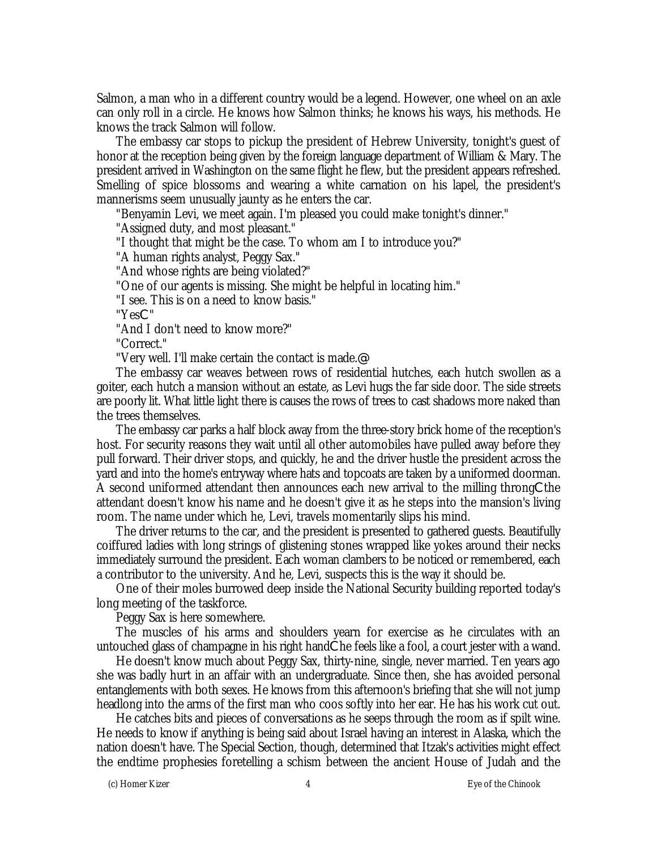Salmon, a man who in a different country would be a legend. However, one wheel on an axle can only roll in a circle. He knows how Salmon thinks; he knows his ways, his methods. He knows the track Salmon will follow.

The embassy car stops to pickup the president of Hebrew University, tonight's guest of honor at the reception being given by the foreign language department of William & Mary. The president arrived in Washington on the same flight he flew, but the president appears refreshed. Smelling of spice blossoms and wearing a white carnation on his lapel, the president's mannerisms seem unusually jaunty as he enters the car.

"Benyamin Levi, we meet again. I'm pleased you could make tonight's dinner."

"Assigned duty, and most pleasant."

"I thought that might be the case. To whom am I to introduce you?"

"A human rights analyst, Peggy Sax."

"And whose rights are being violated?"

"One of our agents is missing. She might be helpful in locating him."

"I see. This is on a need to know basis."

"YesC"

"And I don't need to know more?"

"Correct."

"Very well. I'll make certain the contact is made.@

The embassy car weaves between rows of residential hutches, each hutch swollen as a goiter, each hutch a mansion without an estate, as Levi hugs the far side door. The side streets are poorly lit. What little light there is causes the rows of trees to cast shadows more naked than the trees themselves.

The embassy car parks a half block away from the three-story brick home of the reception's host. For security reasons they wait until all other automobiles have pulled away before they pull forward. Their driver stops, and quickly, he and the driver hustle the president across the yard and into the home's entryway where hats and topcoats are taken by a uniformed doorman. A second uniformed attendant then announces each new arrival to the milling throngCthe attendant doesn't know his name and he doesn't give it as he steps into the mansion's living room. The name under which he, Levi, travels momentarily slips his mind.

The driver returns to the car, and the president is presented to gathered guests. Beautifully coiffured ladies with long strings of glistening stones wrapped like yokes around their necks immediately surround the president. Each woman clambers to be noticed or remembered, each a contributor to the university. And he, Levi, suspects this is the way it should be.

One of their moles burrowed deep inside the National Security building reported today's long meeting of the taskforce.

Peggy Sax is here somewhere.

The muscles of his arms and shoulders yearn for exercise as he circulates with an untouched glass of champagne in his right handChe feels like a fool, a court jester with a wand.

He doesn't know much about Peggy Sax, thirty-nine, single, never married. Ten years ago she was badly hurt in an affair with an undergraduate. Since then, she has avoided personal entanglements with both sexes. He knows from this afternoon's briefing that she will not jump headlong into the arms of the first man who coos softly into her ear. He has his work cut out.

He catches bits and pieces of conversations as he seeps through the room as if spilt wine. He needs to know if anything is being said about Israel having an interest in Alaska, which the nation doesn't have. The Special Section, though, determined that Itzak's activities might effect the endtime prophesies foretelling a schism between the ancient House of Judah and the

(c) Homer Kizer 4 Eye of the Chinook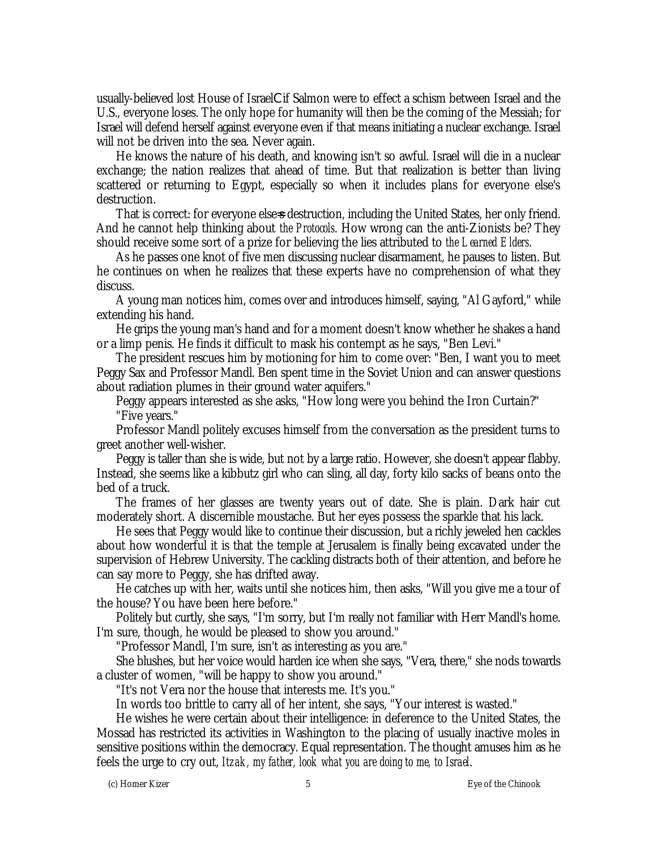usually-believed lost House of IsraelCif Salmon were to effect a schism between Israel and the U.S., everyone loses. The only hope for humanity will then be the coming of the Messiah; for Israel will defend herself against everyone even if that means initiating a nuclear exchange. Israel will not be driven into the sea. Never again.

He knows the nature of his death, and knowing isn't so awful. Israel will die in a nuclear exchange; the nation realizes that ahead of time. But that realization is better than living scattered or returning to Egypt, especially so when it includes plans for everyone else's destruction.

That is correct: for everyone else=s destruction, including the United States, her only friend. And he cannot help thinking about *the Protocols*. How wrong can the anti-Zionists be? They should receive some sort of a prize for believing the lies attributed to *the Learned Elders*.

As he passes one knot of five men discussing nuclear disarmament, he pauses to listen. But he continues on when he realizes that these experts have no comprehension of what they discuss.

A young man notices him, comes over and introduces himself, saying, "Al Gayford," while extending his hand.

He grips the young man's hand and for a moment doesn't know whether he shakes a hand or a limp penis. He finds it difficult to mask his contempt as he says, "Ben Levi."

The president rescues him by motioning for him to come over: "Ben, I want you to meet Peggy Sax and Professor Mandl. Ben spent time in the Soviet Union and can answer questions about radiation plumes in their ground water aquifers."

Peggy appears interested as she asks, "How long were you behind the Iron Curtain?" "Five years."

Professor Mandl politely excuses himself from the conversation as the president turns to greet another well-wisher.

Peggy is taller than she is wide, but not by a large ratio. However, she doesn't appear flabby. Instead, she seems like a kibbutz girl who can sling, all day, forty kilo sacks of beans onto the bed of a truck.

The frames of her glasses are twenty years out of date. She is plain. Dark hair cut moderately short. A discernible moustache. But her eyes possess the sparkle that his lack.

He sees that Peggy would like to continue their discussion, but a richly jeweled hen cackles about how wonderful it is that the temple at Jerusalem is finally being excavated under the supervision of Hebrew University. The cackling distracts both of their attention, and before he can say more to Peggy, she has drifted away.

He catches up with her, waits until she notices him, then asks, "Will you give me a tour of the house? You have been here before."

Politely but curtly, she says, "I'm sorry, but I'm really not familiar with Herr Mandl's home. I'm sure, though, he would be pleased to show you around."

"Professor Mandl, I'm sure, isn't as interesting as you are."

She blushes, but her voice would harden ice when she says, "Vera, there," she nods towards a cluster of women, "will be happy to show you around."

"It's not Vera nor the house that interests me. It's you."

In words too brittle to carry all of her intent, she says, "Your interest is wasted."

He wishes he were certain about their intelligence: in deference to the United States, the Mossad has restricted its activities in Washington to the placing of usually inactive moles in sensitive positions within the democracy. Equal representation. The thought amuses him as he feels the urge to cry out, *Itzak, my father, look what you are doing to me, to Israel*.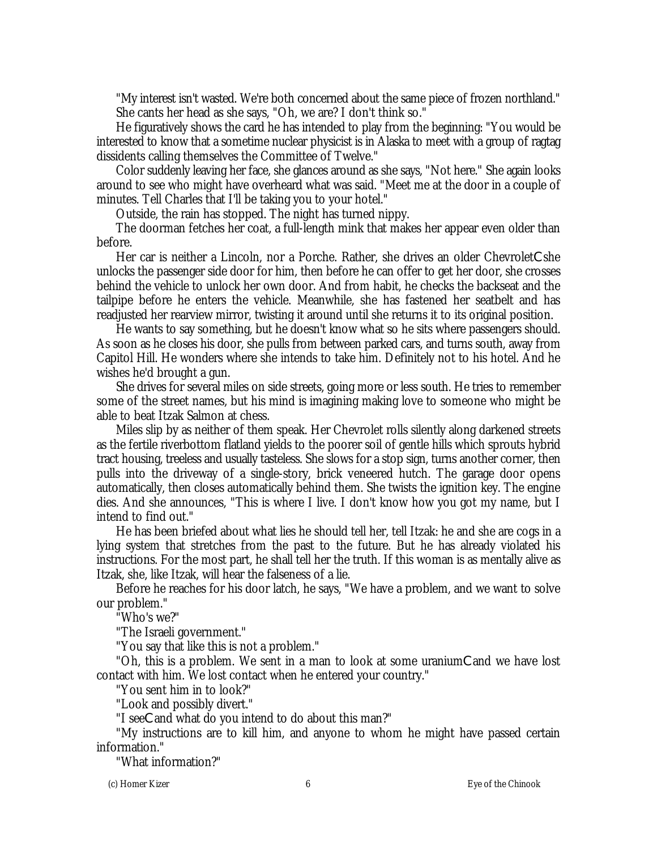"My interest isn't wasted. We're both concerned about the same piece of frozen northland." She cants her head as she says, "Oh, we are? I don't think so."

He figuratively shows the card he has intended to play from the beginning: "You would be interested to know that a sometime nuclear physicist is in Alaska to meet with a group of ragtag dissidents calling themselves the Committee of Twelve."

Color suddenly leaving her face, she glances around as she says, "Not here." She again looks around to see who might have overheard what was said. "Meet me at the door in a couple of minutes. Tell Charles that I'll be taking you to your hotel."

Outside, the rain has stopped. The night has turned nippy.

The doorman fetches her coat, a full-length mink that makes her appear even older than before.

Her car is neither a Lincoln, nor a Porche. Rather, she drives an older ChevroletCshe unlocks the passenger side door for him, then before he can offer to get her door, she crosses behind the vehicle to unlock her own door. And from habit, he checks the backseat and the tailpipe before he enters the vehicle. Meanwhile, she has fastened her seatbelt and has readjusted her rearview mirror, twisting it around until she returns it to its original position.

He wants to say something, but he doesn't know what so he sits where passengers should. As soon as he closes his door, she pulls from between parked cars, and turns south, away from Capitol Hill. He wonders where she intends to take him. Definitely not to his hotel. And he wishes he'd brought a gun.

She drives for several miles on side streets, going more or less south. He tries to remember some of the street names, but his mind is imagining making love to someone who might be able to beat Itzak Salmon at chess.

Miles slip by as neither of them speak. Her Chevrolet rolls silently along darkened streets as the fertile riverbottom flatland yields to the poorer soil of gentle hills which sprouts hybrid tract housing, treeless and usually tasteless. She slows for a stop sign, turns another corner, then pulls into the driveway of a single-story, brick veneered hutch. The garage door opens automatically, then closes automatically behind them. She twists the ignition key. The engine dies. And she announces, "This is where I live. I don't know how you got my name, but I intend to find out."

He has been briefed about what lies he should tell her, tell Itzak: he and she are cogs in a lying system that stretches from the past to the future. But he has already violated his instructions. For the most part, he shall tell her the truth. If this woman is as mentally alive as Itzak, she, like Itzak, will hear the falseness of a lie.

Before he reaches for his door latch, he says, "We have a problem, and we want to solve our problem."

"Who's we?"

"The Israeli government."

"You say that like this is not a problem."

"Oh, this is a problem. We sent in a man to look at some uraniumCand we have lost contact with him. We lost contact when he entered your country."

"You sent him in to look?"

"Look and possibly divert."

"I seeCand what do you intend to do about this man?"

"My instructions are to kill him, and anyone to whom he might have passed certain information."

"What information?"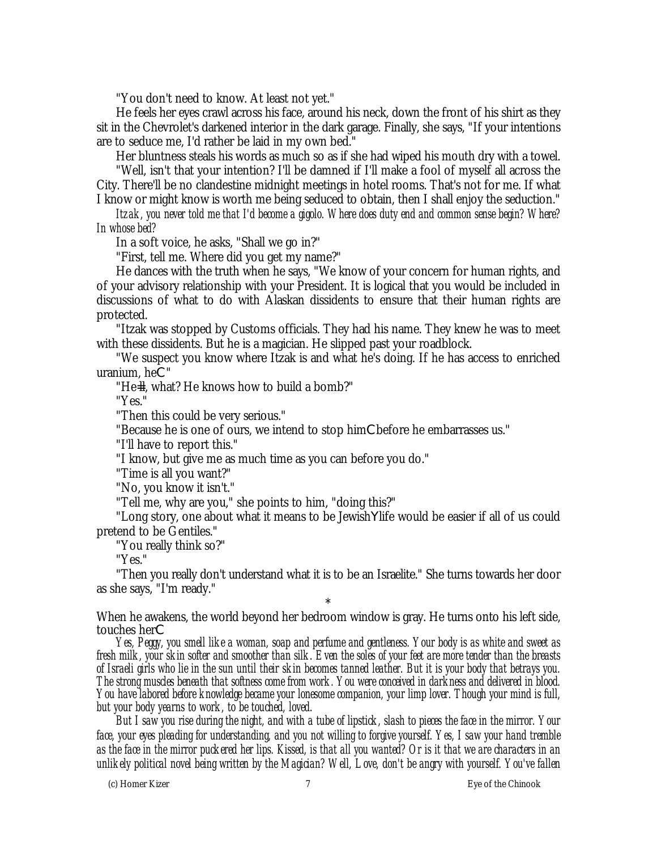"You don't need to know. At least not yet."

He feels her eyes crawl across his face, around his neck, down the front of his shirt as they sit in the Chevrolet's darkened interior in the dark garage. Finally, she says, "If your intentions are to seduce me, I'd rather be laid in my own bed."

Her bluntness steals his words as much so as if she had wiped his mouth dry with a towel.

"Well, isn't that your intention? I'll be damned if I'll make a fool of myself all across the City. There'll be no clandestine midnight meetings in hotel rooms. That's not for me. If what I know or might know is worth me being seduced to obtain, then I shall enjoy the seduction."

*Itzak, you never told me that I'd become a gigolo. Where does duty end and common sense begin? Where? In whose bed?*

In a soft voice, he asks, "Shall we go in?"

"First, tell me. Where did you get my name?"

He dances with the truth when he says, "We know of your concern for human rights, and of your advisory relationship with your President. It is logical that you would be included in discussions of what to do with Alaskan dissidents to ensure that their human rights are protected.

"Itzak was stopped by Customs officials. They had his name. They knew he was to meet with these dissidents. But he is a magician. He slipped past your roadblock.

"We suspect you know where Itzak is and what he's doing. If he has access to enriched uranium, heC"

"He=ll, what? He knows how to build a bomb?"

"Yes."

"Then this could be very serious."

"Because he is one of ours, we intend to stop himCbefore he embarrasses us."

"I'll have to report this."

"I know, but give me as much time as you can before you do."

"Time is all you want?"

"No, you know it isn't."

"Tell me, why are you," she points to him, "doing this?"

"Long story, one about what it means to be JewishYlife would be easier if all of us could pretend to be Gentiles."

"You really think so?"

"Yes."

"Then you really don't understand what it is to be an Israelite." She turns towards her door as she says, "I'm ready."

\* When he awakens, the world beyond her bedroom window is gray. He turns onto his left side, touches herC

*Yes, Peggy, you smell like a woman, soap and perfume and gentleness. Your body is as white and sweet as fresh milk, your skin softer and smoother than silk. Even the soles of your feet are more tender than the breasts of Israeli girls who lie in the sun until their skin becomes tanned leather. But it is your body that betrays you. The strong muscles beneath that softness come from work. You were conceived in darkness and delivered in blood. You have labored before knowledge became your lonesome companion, your limp lover. Though your mind is full, but your body yearns to work, to be touched, loved.*

*But I saw you rise during the night, and with a tube of lipstick, slash to pieces the face in the mirror. Your face, your eyes pleading for understanding, and you not willing to forgive yourself. Yes, I saw your hand tremble as the face in the mirror puckered her lips. Kissed, is that all you wanted? Or is it that we are characters in an unlikely political novel being written by the Magician? Well, Love, don't be angry with yourself. You've fallen*